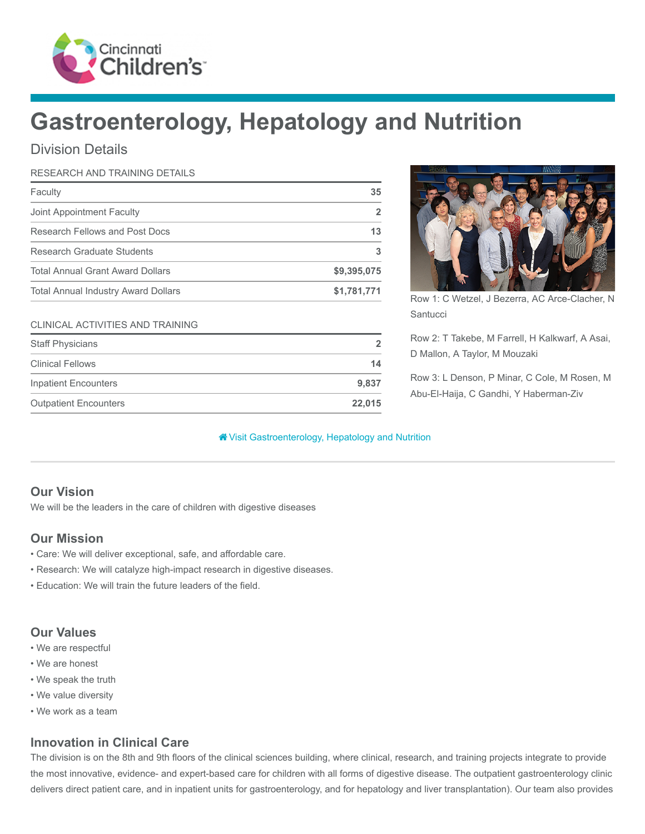

# Gastroenterology, Hepatology and Nutrition

## Division Details

#### RESEARCH AND TRAINING DETAILS

| Faculty                                    | 35          |
|--------------------------------------------|-------------|
| Joint Appointment Faculty                  |             |
| Research Fellows and Post Docs             | 13          |
| Research Graduate Students                 |             |
| <b>Total Annual Grant Award Dollars</b>    | \$9,395,075 |
| <b>Total Annual Industry Award Dollars</b> | \$1,781,771 |

#### CLINICAL ACTIVITIES AND TRAINING

| <b>Staff Physicians</b>      | 2      |
|------------------------------|--------|
| <b>Clinical Fellows</b>      | 14     |
| Inpatient Encounters         | 9.837  |
| <b>Outpatient Encounters</b> | 22.015 |



Row 1: C Wetzel, J Bezerra, AC Arce-Clacher, N **Santucci** 

Row 2: T Takebe, M Farrell, H Kalkwarf, A Asai, D Mallon, A Taylor, M Mouzaki

Row 3: L Denson, P Minar, C Cole, M Rosen, M Abu-El-Haija, C Gandhi, Y Haberman-Ziv

#### [Visit Gastroenterology, Hepatology and Nutrition](https://www.cincinnatichildrens.org/research/divisions/g/gastroenterology)

## Our Vision

We will be the leaders in the care of children with digestive diseases

## Our Mission

- Care: We will deliver exceptional, safe, and affordable care.
- Research: We will catalyze high-impact research in digestive diseases.
- Education: We will train the future leaders of the field.

## Our Values

- We are respectful
- We are honest
- We speak the truth
- We value diversity
- We work as a team

## Innovation in Clinical Care

The division is on the 8th and 9th floors of the clinical sciences building, where clinical, research, and training projects integrate to provide the most innovative, evidence- and expert-based care for children with all forms of digestive disease. The outpatient gastroenterology clinic delivers direct patient care, and in inpatient units for gastroenterology, and for hepatology and liver transplantation). Our team also provides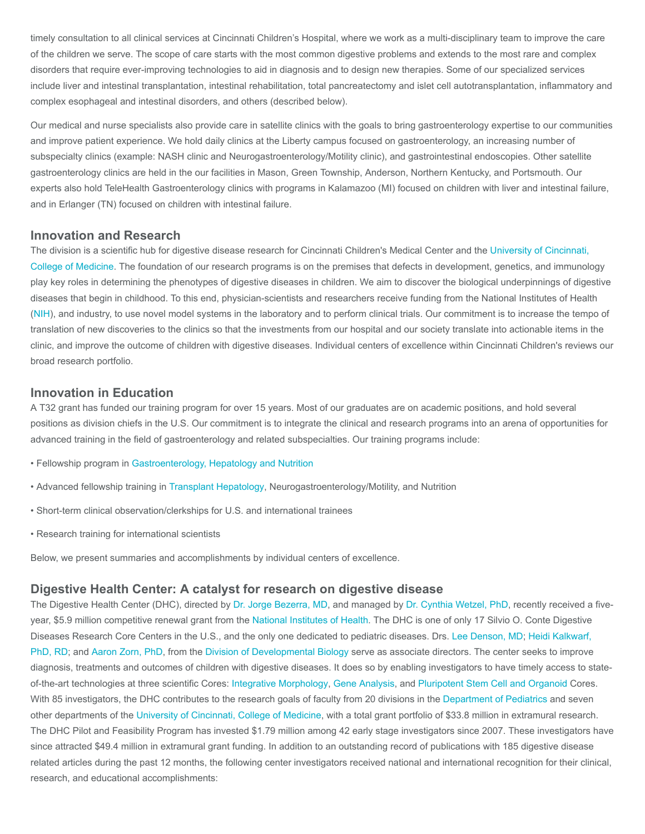timely consultation to all clinical services at Cincinnati Children's Hospital, where we work as a multi-disciplinary team to improve the care of the children we serve. The scope of care starts with the most common digestive problems and extends to the most rare and complex disorders that require ever-improving technologies to aid in diagnosis and to design new therapies. Some of our specialized services include liver and intestinal transplantation, intestinal rehabilitation, total pancreatectomy and islet cell autotransplantation, inflammatory and complex esophageal and intestinal disorders, and others (described below).

Our medical and nurse specialists also provide care in satellite clinics with the goals to bring gastroenterology expertise to our communities and improve patient experience. We hold daily clinics at the Liberty campus focused on gastroenterology, an increasing number of subspecialty clinics (example: NASH clinic and Neurogastroenterology/Motility clinic), and gastrointestinal endoscopies. Other satellite gastroenterology clinics are held in the our facilities in Mason, Green Township, Anderson, Northern Kentucky, and Portsmouth. Our experts also hold TeleHealth Gastroenterology clinics with programs in Kalamazoo (MI) focused on children with liver and intestinal failure, and in Erlanger (TN) focused on children with intestinal failure.

#### Innovation and Research

[The division is a scientific hub for digestive disease research for Cincinnati Children's Medical Center and the University of Cincinnati,](https://med.uc.edu/) College of Medicine. The foundation of our research programs is on the premises that defects in development, genetics, and immunology play key roles in determining the phenotypes of digestive diseases in children. We aim to discover the biological underpinnings of digestive diseases that begin in childhood. To this end, physician-scientists and researchers receive funding from the National Institutes of Health ([NIH\)](https://www.nih.gov/), and industry, to use novel model systems in the laboratory and to perform clinical trials. Our commitment is to increase the tempo of translation of new discoveries to the clinics so that the investments from our hospital and our society translate into actionable items in the clinic, and improve the outcome of children with digestive diseases. Individual centers of excellence within Cincinnati Children's reviews our broad research portfolio.

#### Innovation in Education

A T32 grant has funded our training program for over 15 years. Most of our graduates are on academic positions, and hold several positions as division chiefs in the U.S. Our commitment is to integrate the clinical and research programs into an arena of opportunities for advanced training in the field of gastroenterology and related subspecialties. Our training programs include:

- Fellowship program in [Gastroenterology, Hepatology and Nutrition](https://www.cincinnatichildrens.org/education/clinical/fellowship/gastro)
- Advanced fellowship training in [Transplant Hepatology,](https://www.cincinnatichildrens.org/education/clinical/fellowship/transplant-hepatology) Neurogastroenterology/Motility, and Nutrition
- Short-term clinical observation/clerkships for U.S. and international trainees
- Research training for international scientists

Below, we present summaries and accomplishments by individual centers of excellence.

#### Digestive Health Center: A catalyst for research on digestive disease

The Digestive Health Center (DHC), directed by [Dr. Jorge Bezerra, MD](https://www.cincinnatichildrens.org/bio/b/jorge-bezerra), and managed by [Dr. Cynthia Wetzel, PhD,](https://www.cincinnatichildrens.org/bio/w/cynthia-wetzel) recently received a fiveyear, \$5.9 million competitive renewal grant from the [National Institutes of Health.](https://www.nih.gov/) The DHC is one of only 17 Silvio O. Conte Digestive Diseases Research Core Centers in the U.S., and the only one dedicated to pediatric diseases. Drs. [Lee Denson, MD;](https://www.cincinnatichildrens.org/bio/d/lee-denson) Heidi Kalkwarf, [PhD, RD; and Aaron Zorn, PhD, from the Division of Developmental Biology serve as associate directors. The center seeks to improve](https://www.cincinnatichildrens.org/bio/k/heidi-kalkwarf) diagnosis, treatments and outcomes of children with digestive diseases. It does so by enabling investigators to have timely access to stateof-the-art technologies at three scientific Cores: [Integrative Morphology,](https://www.cincinnatichildrens.org/research/divisions/d/dhc/cores/integrative-morphology) [Gene Analysis,](https://www.cincinnatichildrens.org/research/divisions/d/dhc/cores/gene-analysis) and [Pluripotent Stem Cell and Organoid](https://www.cincinnatichildrens.org/research/divisions/d/dhc/cores/pluripotent-stem-cell) Cores. With 85 investigators, the DHC contributes to the research goals of faculty from 20 divisions in the [Department of Pediatrics](https://www.cincinnatichildrens.org/about/uc-affiliation) and seven other departments of the [University of Cincinnati, College of Medicine](https://med.uc.edu/), with a total grant portfolio of \$33.8 million in extramural research. The DHC Pilot and Feasibility Program has invested \$1.79 million among 42 early stage investigators since 2007. These investigators have since attracted \$49.4 million in extramural grant funding. In addition to an outstanding record of publications with 185 digestive disease related articles during the past 12 months, the following center investigators received national and international recognition for their clinical, research, and educational accomplishments: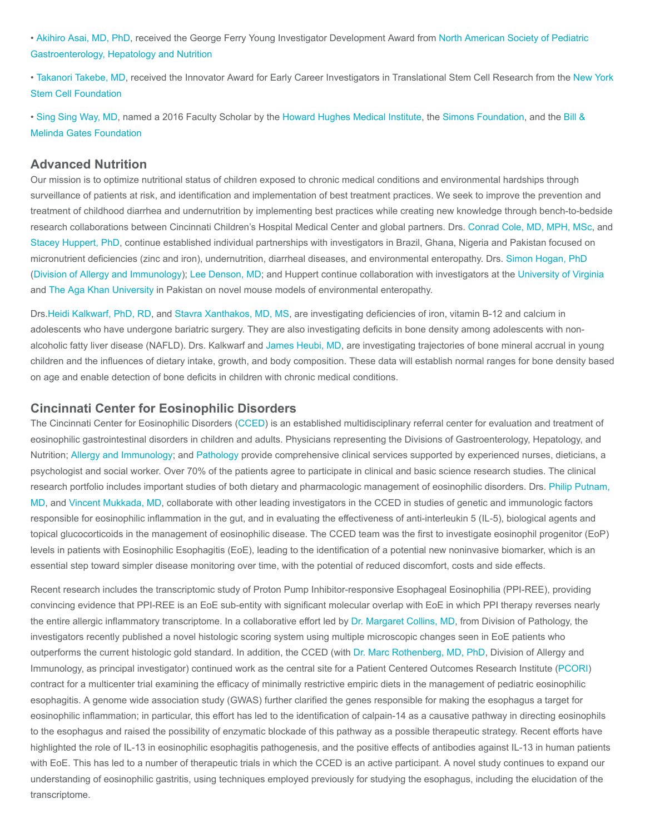[• A](http://www.naspghan.org/)[kihiro Asai, MD, PhD](https://www.cincinnatichildrens.org/bio/a/akihiro-asai)[, received the George Ferry Young Investigator Development Award from North American Society of Pediatric](http://www.naspghan.org/) Gastroenterology, Hepatology and Nutrition

[• T](http://nyscf.org/)[akanori Takebe, M](https://www.cincinnatichildrens.org/bio/t/takanori-takebe)[D, received the Innovator Award for Early Career Investigators in Translational Stem Cell Research from the New York](http://nyscf.org/) Stem Cell Foundation

[• S](https://www.gatesfoundation.org/)[ing Sing Way, MD](https://www.cincinnatichildrens.org/bio/w/singsing-way)[, named a 2016 Faculty Scholar by the](https://www.gatesfoundation.org/) [Howard Hughes Medical Institut](http://www.hhmi.org/)[e, the](https://www.gatesfoundation.org/) [Simons Foundation](https://www.simonsfoundation.org/)[, and the Bill &](https://www.gatesfoundation.org/) Melinda Gates Foundation

#### Advanced Nutrition

Our mission is to optimize nutritional status of children exposed to chronic medical conditions and environmental hardships through surveillance of patients at risk, and identification and implementation of best treatment practices. We seek to improve the prevention and treatment of childhood diarrhea and undernutrition by implementing best practices while creating new knowledge through bench-to-bedside research collaborations between Cincinnati Children's Hospital Medical Center and global partners. Drs. [Conrad Cole, MD, MPH, MSc](https://www.cincinnatichildrens.org/bio/c/conrad-cole), and [Stacey Huppert, PhD,](https://www.cincinnatichildrens.org/bio/h/stacey-huppert) continue established individual partnerships with investigators in Brazil, Ghana, Nigeria and Pakistan focused on micronutrient deficiencies (zinc and iron), undernutrition, diarrheal diseases, and environmental enteropathy. Drs. [Simon Hogan, PhD](https://www.cincinnatichildrens.org/bio/h/simon-hogan) ([Division of Allergy and Immunology](https://www.cincinnatichildrens.org/research/divisions/a/allergy-immunology)); [Lee Denson, MD](https://www.cincinnatichildrens.org/bio/d/lee-denson); and Huppert continue collaboration with investigators at the [University of Virginia](http://www.virginia.edu/) and [The Aga Khan University](https://www.aku.edu/Pages/home.aspx) in Pakistan on novel mouse models of environmental enteropathy.

Drs.[Heidi Kalkwarf, PhD, RD,](https://www.cincinnatichildrens.org/bio/k/heidi-kalkwarf) and [Stavra Xanthakos, MD, MS](https://www.cincinnatichildrens.org/bio/x/stavra-xanthakos), are investigating deficiencies of iron, vitamin B-12 and calcium in adolescents who have undergone bariatric surgery. They are also investigating deficits in bone density among adolescents with nonalcoholic fatty liver disease (NAFLD). Drs. Kalkwarf and [James Heubi, MD](https://www.cincinnatichildrens.org/bio/h/james-heubi), are investigating trajectories of bone mineral accrual in young children and the influences of dietary intake, growth, and body composition. These data will establish normal ranges for bone density based on age and enable detection of bone deficits in children with chronic medical conditions.

#### Cincinnati Center for Eosinophilic Disorders

The Cincinnati Center for Eosinophilic Disorders ([CCED\)](https://www.cincinnatichildrens.org/research/divisions/c/cced-research) is an established multidisciplinary referral center for evaluation and treatment of eosinophilic gastrointestinal disorders in children and adults. Physicians representing the Divisions of Gastroenterology, Hepatology, and Nutrition; [Allergy and Immunology](https://www.cincinnatichildrens.org/research/divisions/a/allergy-immunology); and [Pathology](https://www.cincinnatichildrens.org/research/divisions/p/pathology) provide comprehensive clinical services supported by experienced nurses, dieticians, a psychologist and social worker. Over 70% of the patients agree to participate in clinical and basic science research studies. The clinical [research portfolio includes important studies of both dietary and pharmacologic management of eosinophilic disorders. Drs. Philip Putnam,](https://www.cincinnatichildrens.org/bio/p/philip-putnam) MD, and [Vincent Mukkada, MD,](https://www.cincinnatichildrens.org/bio/m/vincent-mukkada) collaborate with other leading investigators in the CCED in studies of genetic and immunologic factors responsible for eosinophilic inflammation in the gut, and in evaluating the effectiveness of anti-interleukin 5 (IL-5), biological agents and topical glucocorticoids in the management of eosinophilic disease. The CCED team was the first to investigate eosinophil progenitor (EoP) levels in patients with Eosinophilic Esophagitis (EoE), leading to the identification of a potential new noninvasive biomarker, which is an essential step toward simpler disease monitoring over time, with the potential of reduced discomfort, costs and side effects.

Recent research includes the transcriptomic study of Proton Pump Inhibitor-responsive Esophageal Eosinophilia (PPI-REE), providing convincing evidence that PPI-REE is an EoE sub-entity with significant molecular overlap with EoE in which PPI therapy reverses nearly the entire allergic inflammatory transcriptome. In a collaborative effort led by [Dr. Margaret Collins, MD,](https://www.cincinnatichildrens.org/bio/c/margaret-collins) from Division of Pathology, the investigators recently published a novel histologic scoring system using multiple microscopic changes seen in EoE patients who outperforms the current histologic gold standard. In addition, the CCED (with [Dr. Marc Rothenberg, MD, PhD,](https://www.cincinnatichildrens.org/bio/r/marc-rothenberg) Division of Allergy and Immunology, as principal investigator) continued work as the central site for a Patient Centered Outcomes Research Institute ([PCORI](https://www.pcori.org/)) contract for a multicenter trial examining the efficacy of minimally restrictive empiric diets in the management of pediatric eosinophilic esophagitis. A genome wide association study (GWAS) further clarified the genes responsible for making the esophagus a target for eosinophilic inflammation; in particular, this effort has led to the identification of calpain-14 as a causative pathway in directing eosinophils to the esophagus and raised the possibility of enzymatic blockade of this pathway as a possible therapeutic strategy. Recent efforts have highlighted the role of IL-13 in eosinophilic esophagitis pathogenesis, and the positive effects of antibodies against IL-13 in human patients with EoE. This has led to a number of therapeutic trials in which the CCED is an active participant. A novel study continues to expand our understanding of eosinophilic gastritis, using techniques employed previously for studying the esophagus, including the elucidation of the transcriptome.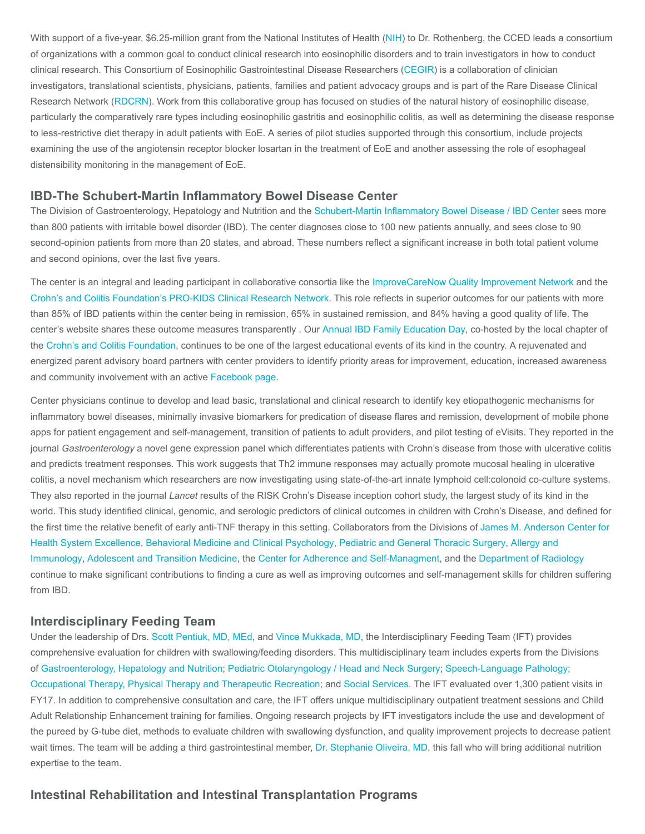With support of a five-year, \$6.25-million grant from the National Institutes of Health ([NIH\)](https://www.nih.gov/) to Dr. Rothenberg, the CCED leads a consortium of organizations with a common goal to conduct clinical research into eosinophilic disorders and to train investigators in how to conduct clinical research. This Consortium of Eosinophilic Gastrointestinal Disease Researchers ([CEGIR](http://apfed.org/research/consortium-of-eosinophilic-gastrointestinal-disease-researchers/)) is a collaboration of clinician investigators, translational scientists, physicians, patients, families and patient advocacy groups and is part of the Rare Disease Clinical Research Network [\(RDCRN](https://www.rarediseasesnetwork.org/)). Work from this collaborative group has focused on studies of the natural history of eosinophilic disease, particularly the comparatively rare types including eosinophilic gastritis and eosinophilic colitis, as well as determining the disease response to less-restrictive diet therapy in adult patients with EoE. A series of pilot studies supported through this consortium, include projects examining the use of the angiotensin receptor blocker losartan in the treatment of EoE and another assessing the role of esophageal distensibility monitoring in the management of EoE.

#### IBD-The Schubert-Martin Inflammatory Bowel Disease Center

The Division of Gastroenterology, Hepatology and Nutrition and the [Schubert-Martin Inflammatory Bowel Disease / IBD Center](https://www.cincinnatichildrens.org/service/i/ibd) sees more than 800 patients with irritable bowel disorder (IBD). The center diagnoses close to 100 new patients annually, and sees close to 90 second-opinion patients from more than 20 states, and abroad. These numbers reflect a significant increase in both total patient volume and second opinions, over the last five years.

The center is an integral and leading participant in collaborative consortia like the [ImproveCareNow Quality Improvement Network](http://www.improvecarenow.org/improvecarenow_development_pediatric_inflammatory_bowel_disease_improvement_network) and the [Crohn's and Colitis Foundation's PRO-KIDS Clinical Research Network](http://www.ccfa.org/science-and-professionals/research/current-research-studies/PROKIIDS.html?referrer=https://www.google.com/). This role reflects in superior outcomes for our patients with more than 85% of IBD patients within the center being in remission, 65% in sustained remission, and 84% having a good quality of life. The center's website shares these outcome measures transparently . Our [Annual IBD Family Education Day,](https://www.cincinnatichildrens.org/service/i/ibd/education-day) co-hosted by the local chapter of the [Crohn's and Colitis Foundation,](http://www.ccfa.org/chapters/swohio/) continues to be one of the largest educational events of its kind in the country. A rejuvenated and energized parent advisory board partners with center providers to identify priority areas for improvement, education, increased awareness and community involvement with an active [Facebook page](https://www.facebook.com/groups/IBDevoted/).

Center physicians continue to develop and lead basic, translational and clinical research to identify key etiopathogenic mechanisms for inflammatory bowel diseases, minimally invasive biomarkers for predication of disease flares and remission, development of mobile phone apps for patient engagement and self-management, transition of patients to adult providers, and pilot testing of eVisits. They reported in the journal Gastroenterology a novel gene expression panel which differentiates patients with Crohn's disease from those with ulcerative colitis and predicts treatment responses. This work suggests that Th2 immune responses may actually promote mucosal healing in ulcerative colitis, a novel mechanism which researchers are now investigating using state-of-the-art innate lymphoid cell:colonoid co-culture systems. They also reported in the journal Lancet results of the RISK Crohn's Disease inception cohort study, the largest study of its kind in the world. This study identified clinical, genomic, and serologic predictors of clinical outcomes in children with Crohn's Disease, and defined for [the first time the relative benefit of early anti-TNF therapy in this setting. Collaborators from the Divisions of James M. Anderson Center for](https://www.cincinnatichildrens.org/research/divisions/j/anderson-center) [Health System Excellence,](https://www.cincinnatichildrens.org/research/divisions/a/allergy-immunology) [Behavioral Medicine and Clinical Psycholog](https://www.cincinnatichildrens.org/research/divisions/b/psychology)[y,](https://www.cincinnatichildrens.org/research/divisions/a/allergy-immunology) [Pediatric and General Thoracic Surger](https://www.cincinnatichildrens.org/research/divisions/g/thoracic-surgery)[y, Allergy and](https://www.cincinnatichildrens.org/research/divisions/a/allergy-immunology) Immunology, [Adolescent and Transition Medicine,](https://www.cincinnatichildrens.org/research/divisions/a/adolescent) the [Center for Adherence and Self-Managment,](https://www.cincinnatichildrens.org/research/divisions/c/adherence) and the [Department of Radiology](https://www.cincinnatichildrens.org/research/divisions/r/radiology) continue to make significant contributions to finding a cure as well as improving outcomes and self-management skills for children suffering from IBD.

#### Interdisciplinary Feeding Team

Under the leadership of Drs. [Scott Pentiuk, MD, MEd,](https://www.cincinnatichildrens.org/bio/p/scott-pentiuk) and [Vince Mukkada, MD](https://www.cincinnatichildrens.org/bio/m/vincent-mukkada), the Interdisciplinary Feeding Team (IFT) provides comprehensive evaluation for children with swallowing/feeding disorders. This multidisciplinary team includes experts from the Divisions of [Gastroenterology, Hepatology and Nutrition](https://www.cincinnatichildrens.org/research/divisions/g/gastroenterology); [Pediatric Otolaryngology / Head and Neck Surgery](https://www.cincinnatichildrens.org/research/divisions/o/otolaryngology); [Speech-Language Pathology](https://www.cincinnatichildrens.org/research/divisions/r/rips/research/speech); [Occupational Therapy, Physical Therapy and Therapeutic Recreation;](https://www.cincinnatichildrens.org/research/divisions/r/rips/research/ot-pt) and [Social Services](https://www.cincinnatichildrens.org/service/s/social-services). The IFT evaluated over 1,300 patient visits in FY17. In addition to comprehensive consultation and care, the IFT offers unique multidisciplinary outpatient treatment sessions and Child Adult Relationship Enhancement training for families. Ongoing research projects by IFT investigators include the use and development of the pureed by G-tube diet, methods to evaluate children with swallowing dysfunction, and quality improvement projects to decrease patient wait times. The team will be adding a third gastrointestinal member, [Dr. Stephanie Oliveira, MD](https://www.cincinnatichildrens.org/bio/o/stephanie-oliveira), this fall who will bring additional nutrition expertise to the team.

#### Intestinal Rehabilitation and Intestinal Transplantation Programs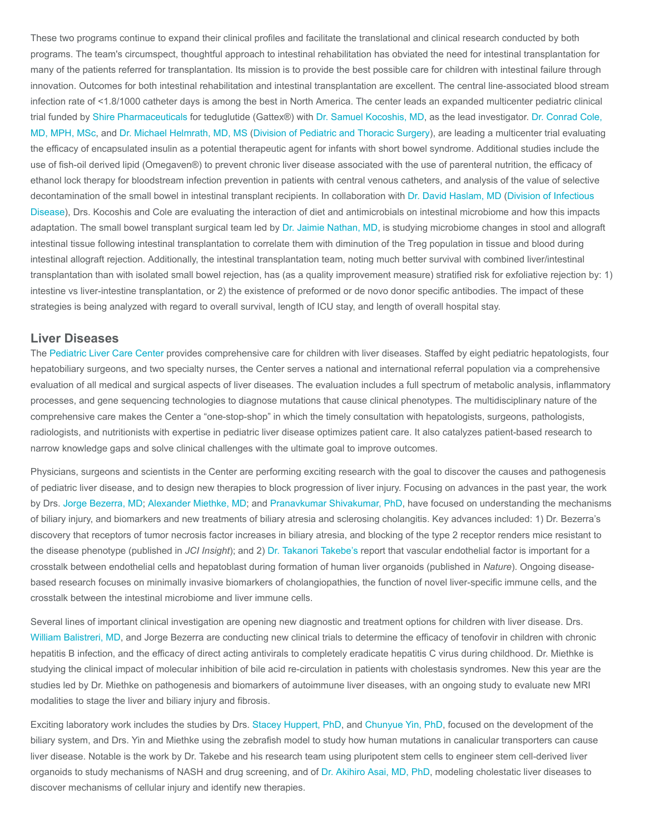These two programs continue to expand their clinical profiles and facilitate the translational and clinical research conducted by both programs. The team's circumspect, thoughtful approach to intestinal rehabilitation has obviated the need for intestinal transplantation for many of the patients referred for transplantation. Its mission is to provide the best possible care for children with intestinal failure through innovation. Outcomes for both intestinal rehabilitation and intestinal transplantation are excellent. The central line-associated blood stream infection rate of <1.8/1000 catheter days is among the best in North America. The center leads an expanded multicenter pediatric clinical trial funded by [Shire Pharmaceuticals](https://www.shire.com/) for teduglutide (Gattex®) with [Dr. Samuel Kocoshis, MD](https://www.cincinnatichildrens.org/bio/k/samuel-kocoshis), as the lead investigator. Dr. Conrad Cole, [MD, MPH, MSc, and Dr. Michael Helmrath, MD, MS \(Division of Pediatric and Thoracic Surgery\), are leading a multicenter trial evaluating](https://www.cincinnatichildrens.org/bio/c/conrad-cole) the efficacy of encapsulated insulin as a potential therapeutic agent for infants with short bowel syndrome. Additional studies include the use of fish-oil derived lipid (Omegaven®) to prevent chronic liver disease associated with the use of parenteral nutrition, the efficacy of ethanol lock therapy for bloodstream infection prevention in patients with central venous catheters, and analysis of the value of selective [decontamination of the small bowel in intestinal transplant recipients. In collaboration with D](https://www.cincinnatichildrens.org/research/divisions/i/infectious)[r. David Haslam, M](https://www.cincinnatichildrens.org/bio/h/david-haslam)[D \(Division of Infectious](https://www.cincinnatichildrens.org/research/divisions/i/infectious) Disease), Drs. Kocoshis and Cole are evaluating the interaction of diet and antimicrobials on intestinal microbiome and how this impacts adaptation. The small bowel transplant surgical team led by [Dr. Jaimie Nathan, MD,](https://www.cincinnatichildrens.org/bio/n/jaimie-nathan) is studying microbiome changes in stool and allograft intestinal tissue following intestinal transplantation to correlate them with diminution of the Treg population in tissue and blood during intestinal allograft rejection. Additionally, the intestinal transplantation team, noting much better survival with combined liver/intestinal transplantation than with isolated small bowel rejection, has (as a quality improvement measure) stratified risk for exfoliative rejection by: 1) intestine vs liver-intestine transplantation, or 2) the existence of preformed or de novo donor specific antibodies. The impact of these strategies is being analyzed with regard to overall survival, length of ICU stay, and length of overall hospital stay.

#### Liver Diseases

The [Pediatric Liver Care Center](https://www.cincinnatichildrens.org/service/l/liver-care) provides comprehensive care for children with liver diseases. Staffed by eight pediatric hepatologists, four hepatobiliary surgeons, and two specialty nurses, the Center serves a national and international referral population via a comprehensive evaluation of all medical and surgical aspects of liver diseases. The evaluation includes a full spectrum of metabolic analysis, inflammatory processes, and gene sequencing technologies to diagnose mutations that cause clinical phenotypes. The multidisciplinary nature of the comprehensive care makes the Center a "one-stop-shop" in which the timely consultation with hepatologists, surgeons, pathologists, radiologists, and nutritionists with expertise in pediatric liver disease optimizes patient care. It also catalyzes patient-based research to narrow knowledge gaps and solve clinical challenges with the ultimate goal to improve outcomes.

Physicians, surgeons and scientists in the Center are performing exciting research with the goal to discover the causes and pathogenesis of pediatric liver disease, and to design new therapies to block progression of liver injury. Focusing on advances in the past year, the work by Drs. [Jorge Bezerra, MD;](https://www.cincinnatichildrens.org/bio/b/jorge-bezerra) [Alexander Miethke, MD](https://www.cincinnatichildrens.org/bio/m/alexander-miethke); and [Pranavkumar Shivakumar, PhD](https://www.cincinnatichildrens.org/bio/s/pranavkumar-shivakumar), have focused on understanding the mechanisms of biliary injury, and biomarkers and new treatments of biliary atresia and sclerosing cholangitis. Key advances included: 1) Dr. Bezerra's discovery that receptors of tumor necrosis factor increases in biliary atresia, and blocking of the type 2 receptor renders mice resistant to the disease phenotype (published in JCI Insight); and 2) [Dr. Takanori Takebe's](https://www.cincinnatichildrens.org/bio/t/takanori-takebe) report that vascular endothelial factor is important for a crosstalk between endothelial cells and hepatoblast during formation of human liver organoids (published in Nature). Ongoing diseasebased research focuses on minimally invasive biomarkers of cholangiopathies, the function of novel liver-specific immune cells, and the crosstalk between the intestinal microbiome and liver immune cells.

Several lines of important clinical investigation are opening new diagnostic and treatment options for children with liver disease. Drs. [William Balistreri, MD](https://www.cincinnatichildrens.org/bio/b/william-balistreri), and Jorge Bezerra are conducting new clinical trials to determine the efficacy of tenofovir in children with chronic hepatitis B infection, and the efficacy of direct acting antivirals to completely eradicate hepatitis C virus during childhood. Dr. Miethke is studying the clinical impact of molecular inhibition of bile acid re-circulation in patients with cholestasis syndromes. New this year are the studies led by Dr. Miethke on pathogenesis and biomarkers of autoimmune liver diseases, with an ongoing study to evaluate new MRI modalities to stage the liver and biliary injury and fibrosis.

Exciting laboratory work includes the studies by Drs. [Stacey Huppert, PhD](https://www.cincinnatichildrens.org/bio/h/stacey-huppert), and [Chunyue Yin, PhD](https://www.cincinnatichildrens.org/bio/y/chunyue-yin), focused on the development of the biliary system, and Drs. Yin and Miethke using the zebrafish model to study how human mutations in canalicular transporters can cause liver disease. Notable is the work by Dr. Takebe and his research team using pluripotent stem cells to engineer stem cell-derived liver organoids to study mechanisms of NASH and drug screening, and of [Dr. Akihiro Asai, MD, PhD](https://www.cincinnatichildrens.org/bio/a/akihiro-asai), modeling cholestatic liver diseases to discover mechanisms of cellular injury and identify new therapies.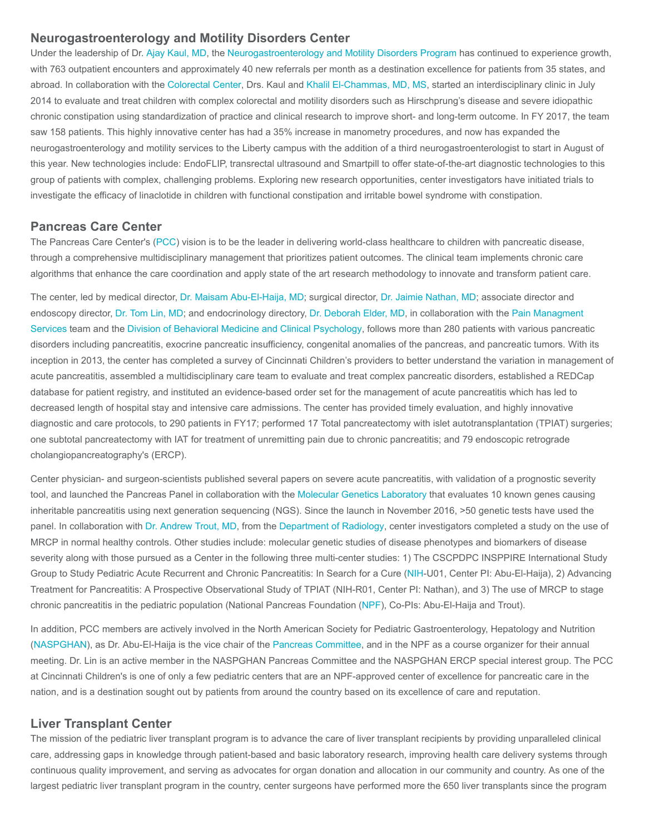#### Neurogastroenterology and Motility Disorders Center

Under the leadership of Dr. [Ajay Kaul, MD](https://www.cincinnatichildrens.org/bio/k/ajay-kaul), the [Neurogastroenterology and Motility Disorders Program](https://www.cincinnatichildrens.org/service/n/neurogastroenterology) has continued to experience growth, with 763 outpatient encounters and approximately 40 new referrals per month as a destination excellence for patients from 35 states, and abroad. In collaboration with the [Colorectal Center](https://www.cincinnatichildrens.org/service/c/colorectal), Drs. Kaul and [Khalil El-Chammas, MD, MS,](https://www.cincinnatichildrens.org/bio/e/khalil-el-chammas) started an interdisciplinary clinic in July 2014 to evaluate and treat children with complex colorectal and motility disorders such as Hirschprung's disease and severe idiopathic chronic constipation using standardization of practice and clinical research to improve short- and long-term outcome. In FY 2017, the team saw 158 patients. This highly innovative center has had a 35% increase in manometry procedures, and now has expanded the neurogastroenterology and motility services to the Liberty campus with the addition of a third neurogastroenterologist to start in August of this year. New technologies include: EndoFLIP, transrectal ultrasound and Smartpill to offer state-of-the-art diagnostic technologies to this group of patients with complex, challenging problems. Exploring new research opportunities, center investigators have initiated trials to investigate the efficacy of linaclotide in children with functional constipation and irritable bowel syndrome with constipation.

#### Pancreas Care Center

The Pancreas Care Center's [\(PCC](https://www.cincinnatichildrens.org/service/p/pancreas-care)) vision is to be the leader in delivering world-class healthcare to children with pancreatic disease, through a comprehensive multidisciplinary management that prioritizes patient outcomes. The clinical team implements chronic care algorithms that enhance the care coordination and apply state of the art research methodology to innovate and transform patient care.

The center, led by medical director, [Dr. Maisam Abu-El-Haija, MD](https://www.cincinnatichildrens.org/bio/a/maisam-abu-el-haija); surgical director, [Dr. Jaimie Nathan, MD](https://www.cincinnatichildrens.org/bio/n/jaimie-nathan); associate director and [endoscopy director,](https://www.cincinnatichildrens.org/service/p/pain) [Dr. Tom Lin, M](https://www.cincinnatichildrens.org/bio/l/tom-lin)[D; and endocrinology directory, D](https://www.cincinnatichildrens.org/service/p/pain)[r. Deborah Elder, M](https://www.cincinnatichildrens.org/bio/e/deborah-elder)[D, in collaboration with the Pain Managment](https://www.cincinnatichildrens.org/service/p/pain) Services team and the [Division of Behavioral Medicine and Clinical Psychology,](https://www.cincinnatichildrens.org/research/divisions/b/psychology) follows more than 280 patients with various pancreatic disorders including pancreatitis, exocrine pancreatic insufficiency, congenital anomalies of the pancreas, and pancreatic tumors. With its inception in 2013, the center has completed a survey of Cincinnati Children's providers to better understand the variation in management of acute pancreatitis, assembled a multidisciplinary care team to evaluate and treat complex pancreatic disorders, established a REDCap database for patient registry, and instituted an evidence-based order set for the management of acute pancreatitis which has led to decreased length of hospital stay and intensive care admissions. The center has provided timely evaluation, and highly innovative diagnostic and care protocols, to 290 patients in FY17; performed 17 Total pancreatectomy with islet autotransplantation (TPIAT) surgeries; one subtotal pancreatectomy with IAT for treatment of unremitting pain due to chronic pancreatitis; and 79 endoscopic retrograde cholangiopancreatography's (ERCP).

Center physician- and surgeon-scientists published several papers on severe acute pancreatitis, with validation of a prognostic severity tool, and launched the Pancreas Panel in collaboration with the [Molecular Genetics Laboratory](https://www.cincinnatichildrens.org/service/d/diagnostic-labs/molecular-genetics) that evaluates 10 known genes causing inheritable pancreatitis using next generation sequencing (NGS). Since the launch in November 2016, >50 genetic tests have used the panel. In collaboration with [Dr. Andrew Trout, MD,](https://www.cincinnatichildrens.org/bio/t/andrew-trout) from the [Department of Radiology,](https://www.cincinnatichildrens.org/research/divisions/r/radiology) center investigators completed a study on the use of MRCP in normal healthy controls. Other studies include: molecular genetic studies of disease phenotypes and biomarkers of disease severity along with those pursued as a Center in the following three multi-center studies: 1) The CSCPDPC INSPPIRE International Study Group to Study Pediatric Acute Recurrent and Chronic Pancreatitis: In Search for a Cure ([NIH](https://www.nih.gov/)-U01, Center PI: Abu-El-Haija), 2) Advancing Treatment for Pancreatitis: A Prospective Observational Study of TPIAT (NIH-R01, Center PI: Nathan), and 3) The use of MRCP to stage chronic pancreatitis in the pediatric population (National Pancreas Foundation ([NPF\)](https://www.pancreasfoundation.org/), Co-PIs: Abu-El-Haija and Trout).

In addition, PCC members are actively involved in the North American Society for Pediatric Gastroenterology, Hepatology and Nutrition ([NASPGHAN](http://www.naspghan.org/)), as Dr. Abu-El-Haija is the vice chair of the [Pancreas Committee](http://www.naspghan.org/content/120/en/), and in the NPF as a course organizer for their annual meeting. Dr. Lin is an active member in the NASPGHAN Pancreas Committee and the NASPGHAN ERCP special interest group. The PCC at Cincinnati Children's is one of only a few pediatric centers that are an NPF-approved center of excellence for pancreatic care in the nation, and is a destination sought out by patients from around the country based on its excellence of care and reputation.

#### Liver Transplant Center

The mission of the pediatric liver transplant program is to advance the care of liver transplant recipients by providing unparalleled clinical care, addressing gaps in knowledge through patient-based and basic laboratory research, improving health care delivery systems through continuous quality improvement, and serving as advocates for organ donation and allocation in our community and country. As one of the largest pediatric liver transplant program in the country, center surgeons have performed more the 650 liver transplants since the program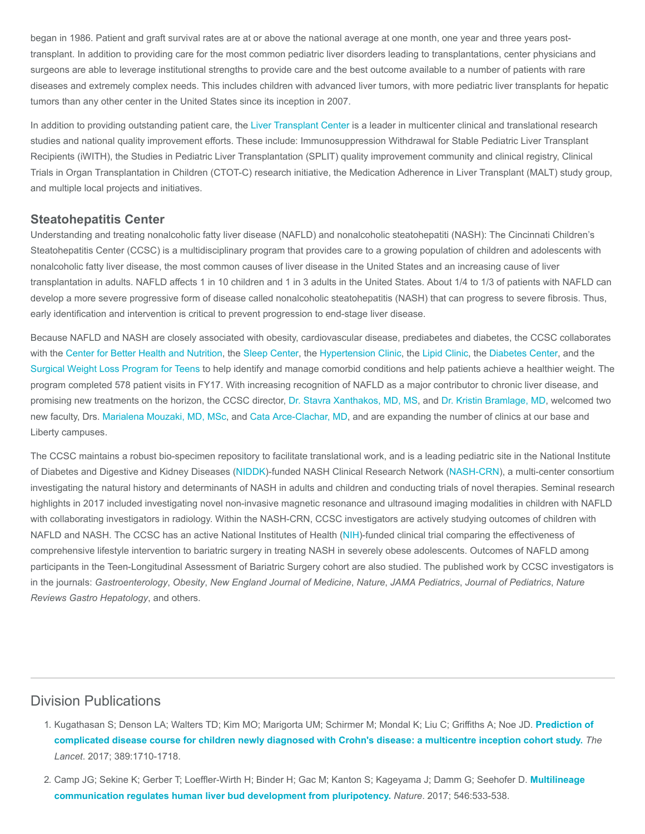began in 1986. Patient and graft survival rates are at or above the national average at one month, one year and three years posttransplant. In addition to providing care for the most common pediatric liver disorders leading to transplantations, center physicians and surgeons are able to leverage institutional strengths to provide care and the best outcome available to a number of patients with rare diseases and extremely complex needs. This includes children with advanced liver tumors, with more pediatric liver transplants for hepatic tumors than any other center in the United States since its inception in 2007.

In addition to providing outstanding patient care, the [Liver Transplant Center](https://www.cincinnatichildrens.org/service/l/liver-transplant) is a leader in multicenter clinical and translational research studies and national quality improvement efforts. These include: Immunosuppression Withdrawal for Stable Pediatric Liver Transplant Recipients (iWITH), the Studies in Pediatric Liver Transplantation (SPLIT) quality improvement community and clinical registry, Clinical Trials in Organ Transplantation in Children (CTOT-C) research initiative, the Medication Adherence in Liver Transplant (MALT) study group, and multiple local projects and initiatives.

#### Steatohepatitis Center

Understanding and treating nonalcoholic fatty liver disease (NAFLD) and nonalcoholic steatohepatiti (NASH): The Cincinnati Children's Steatohepatitis Center (CCSC) is a multidisciplinary program that provides care to a growing population of children and adolescents with nonalcoholic fatty liver disease, the most common causes of liver disease in the United States and an increasing cause of liver transplantation in adults. NAFLD affects 1 in 10 children and 1 in 3 adults in the United States. About 1/4 to 1/3 of patients with NAFLD can develop a more severe progressive form of disease called nonalcoholic steatohepatitis (NASH) that can progress to severe fibrosis. Thus, early identification and intervention is critical to prevent progression to end-stage liver disease.

Because NAFLD and NASH are closely associated with obesity, cardiovascular disease, prediabetes and diabetes, the CCSC collaborates with the [Center for Better Health and Nutrition](https://www.cincinnatichildrens.org/service/b/better-health), the [Sleep Center](https://www.cincinnatichildrens.org/service/s/sleep), the [Hypertension Clinic,](https://www.cincinnatichildrens.org/service/h/hypertension) the [Lipid Clinic](https://www.cincinnatichildrens.org/service/d/dyslipidemia), the [Diabetes Center,](https://www.cincinnatichildrens.org/service/d/diabetes) and the [Surgical Weight Loss Program for Teens](https://www.cincinnatichildrens.org/service/s/weight-loss) to help identify and manage comorbid conditions and help patients achieve a healthier weight. The program completed 578 patient visits in FY17. With increasing recognition of NAFLD as a major contributor to chronic liver disease, and promising new treatments on the horizon, the CCSC director, [Dr. Stavra Xanthakos, MD, MS](https://www.cincinnatichildrens.org/bio/x/stavra-xanthakos), and [Dr. Kristin Bramlage, MD](https://www.cincinnatichildrens.org/bio/b/kristin-bramlage), welcomed two new faculty, Drs. [Marialena Mouzaki, MD, MSc,](https://www.cincinnatichildrens.org/bio/m/marialena-mouzaki) and [Cata Arce-Clachar, MD,](https://www.cincinnatichildrens.org/bio/a/cata-arce-clachar) and are expanding the number of clinics at our base and Liberty campuses.

The CCSC maintains a robust bio-specimen repository to facilitate translational work, and is a leading pediatric site in the National Institute of Diabetes and Digestive and Kidney Diseases ([NIDDK](https://www.niddk.nih.gov/))-funded NASH Clinical Research Network [\(NASH-CRN](https://jhuccs1.us/nash/)), a multi-center consortium investigating the natural history and determinants of NASH in adults and children and conducting trials of novel therapies. Seminal research highlights in 2017 included investigating novel non-invasive magnetic resonance and ultrasound imaging modalities in children with NAFLD with collaborating investigators in radiology. Within the NASH-CRN, CCSC investigators are actively studying outcomes of children with NAFLD and NASH. The CCSC has an active National Institutes of Health ([NIH](https://www.nih.gov/))-funded clinical trial comparing the effectiveness of comprehensive lifestyle intervention to bariatric surgery in treating NASH in severely obese adolescents. Outcomes of NAFLD among participants in the Teen-Longitudinal Assessment of Bariatric Surgery cohort are also studied. The published work by CCSC investigators is in the journals: Gastroenterology, Obesity, New England Journal of Medicine, Nature, JAMA Pediatrics, Journal of Pediatrics, Nature Reviews Gastro Hepatology, and others.

## Division Publications

- 1. [Kugathasan S; Denson LA; Walters TD; Kim MO; Marigorta UM; Schirmer M; Mondal K; Liu C; Griffiths A; Noe JD.](https://www.ncbi.nlm.nih.gov/pubmed/28259484) Prediction of complicated disease course for children newly diagnosed with Crohn's disease: a multicentre inception cohort study. The Lancet. 2017; 389:1710-1718.
- 2. [Camp JG; Sekine K; Gerber T; Loeffler-Wirth H; Binder H; Gac M; Kanton S; Kageyama J; Damm G; Seehofer D.](https://www.ncbi.nlm.nih.gov/pubmed/28614297) Multilineage communication regulates human liver bud development from pluripotency. Nature. 2017; 546:533-538.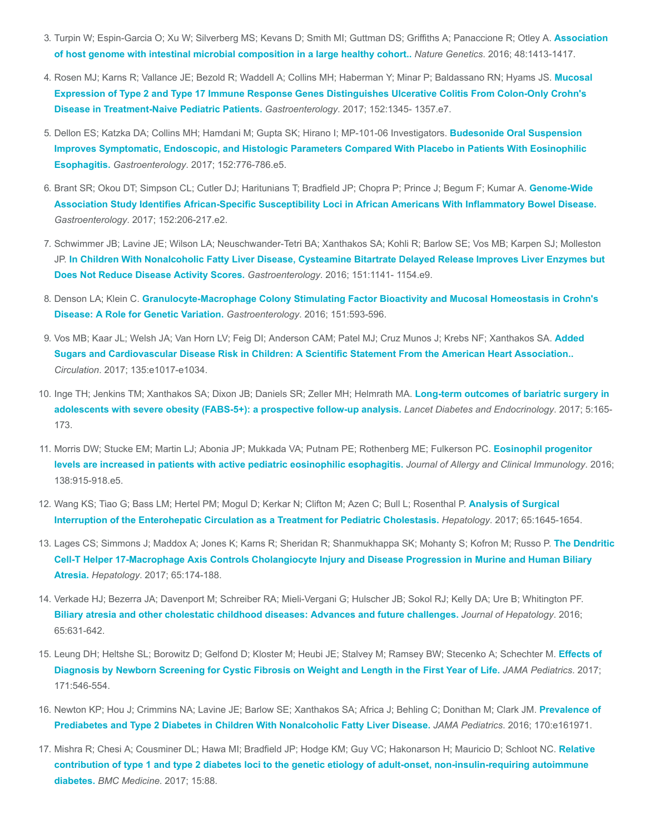- 3. [Turpin W; Espin-Garcia O; Xu W; Silverberg MS; Kevans D; Smith MI; Guttman DS; Griffiths A; Panaccione R; Otley A.](https://www.ncbi.nlm.nih.gov/pubmed/27694960) Association of host genome with intestinal microbial composition in a large healthy cohort.. Nature Genetics. 2016; 48:1413-1417.
- 4. [Rosen MJ; Karns R; Vallance JE; Bezold R; Waddell A; Collins MH; Haberman Y; Minar P; Baldassano RN; Hyams JS.](https://www.ncbi.nlm.nih.gov/pubmed/28132889) Mucosal Expression of Type 2 and Type 17 Immune Response Genes Distinguishes Ulcerative Colitis From Colon-Only Crohn's Disease in Treatment-Naive Pediatric Patients. Gastroenterology. 2017; 152:1345- 1357.e7.
- 5. Dellon ES; Katzka DA; Collins MH; Hamdani M; Gupta SK; Hirano I; MP-101-06 Investigators. Budesonide Oral Suspension [Improves Symptomatic, Endoscopic, and Histologic Parameters Compared With Placebo in Patients With Eosinophilic](https://www.ncbi.nlm.nih.gov/pubmed/27889574) Esophagitis. Gastroenterology. 2017; 152:776-786.e5.
- 6. Brant SR; Okou DT; Simpson CL; Cutler DJ; Haritunians T; Bradfield JP; Chopra P; Prince J; Begum F; Kumar A. Genome-Wide [Association Study Identifies African-Specific Susceptibility Loci in African Americans With Inflammatory Bowel Disease.](https://www.ncbi.nlm.nih.gov/pubmed/27693347) Gastroenterology. 2017; 152:206-217.e2.
- 7. Schwimmer JB; Lavine JE; Wilson LA; Neuschwander-Tetri BA; Xanthakos SA; Kohli R; Barlow SE; Vos MB; Karpen SJ; Molleston JP. [In Children With Nonalcoholic Fatty Liver Disease, Cysteamine Bitartrate Delayed Release Improves Liver Enzymes but](https://www.ncbi.nlm.nih.gov/pubmed/27569726) Does Not Reduce Disease Activity Scores. Gastroenterology. 2016; 151:1141- 1154.e9.
- 8. Denson LA; Klein C. [Granulocyte-Macrophage Colony Stimulating Factor Bioactivity and Mucosal Homeostasis in Crohn's](https://www.ncbi.nlm.nih.gov/pubmed/27590689) Disease: A Role for Genetic Variation. Gastroenterology. 2016; 151:593-596.
- 9. [Vos MB; Kaar JL; Welsh JA; Van Horn LV; Feig DI; Anderson CAM; Patel MJ; Cruz Munos J; Krebs NF; Xanthakos SA.](https://www.ncbi.nlm.nih.gov/pubmed/27550974) Added Sugars and Cardiovascular Disease Risk in Children: A Scientific Statement From the American Heart Association.. Circulation. 2017; 135:e1017-e1034.
- 10. [Inge TH; Jenkins TM; Xanthakos SA; Dixon JB; Daniels SR; Zeller MH; Helmrath MA.](https://www.ncbi.nlm.nih.gov/pubmed/28065736) Long-term outcomes of bariatric surgery in adolescents with severe obesity (FABS-5+): a prospective follow-up analysis. Lancet Diabetes and Endocrinology. 2017; 5:165-173.
- 11. [Morris DW; Stucke EM; Martin LJ; Abonia JP; Mukkada VA; Putnam PE; Rothenberg ME; Fulkerson PC.](https://www.ncbi.nlm.nih.gov/pubmed/27199214) Eosinophil progenitor levels are increased in patients with active pediatric eosinophilic esophagitis. Journal of Allergy and Clinical Immunology. 2016; 138:915-918.e5.
- 12. [Wang KS; Tiao G; Bass LM; Hertel PM; Mogul D; Kerkar N; Clifton M; Azen C; Bull L; Rosenthal P.](https://www.ncbi.nlm.nih.gov/pubmed/28027587) Analysis of Surgical Interruption of the Enterohepatic Circulation as a Treatment for Pediatric Cholestasis. Hepatology. 2017; 65:1645-1654.
- 13. [Lages CS; Simmons J; Maddox A; Jones K; Karns R; Sheridan R; Shanmukhappa SK; Mohanty S; Kofron M; Russo P.](https://www.ncbi.nlm.nih.gov/pubmed/27641439) The Dendritic Cell-T Helper 17-Macrophage Axis Controls Cholangiocyte Injury and Disease Progression in Murine and Human Biliary Atresia. Hepatology. 2017; 65:174-188.
- 14. Verkade HJ; Bezerra JA; Davenport M; Schreiber RA; Mieli-Vergani G; Hulscher JB; Sokol RJ; Kelly DA; Ure B; Whitington PF. [Biliary atresia and other cholestatic childhood diseases: Advances and future challenges.](https://www.ncbi.nlm.nih.gov/pubmed/27164551) Journal of Hepatology. 2016; 65:631-642.
- 15. [Leung DH; Heltshe SL; Borowitz D; Gelfond D; Kloster M; Heubi JE; Stalvey M; Ramsey BW; Stecenko A; Schechter M.](https://www.ncbi.nlm.nih.gov/pubmed/28437538) Effects of Diagnosis by Newborn Screening for Cystic Fibrosis on Weight and Length in the First Year of Life. JAMA Pediatrics. 2017; 171:546-554.
- 16. [Newton KP; Hou J; Crimmins NA; Lavine JE; Barlow SE; Xanthakos SA; Africa J; Behling C; Donithan M; Clark JM.](https://www.ncbi.nlm.nih.gov/pubmed/27478956) Prevalence of Prediabetes and Type 2 Diabetes in Children With Nonalcoholic Fatty Liver Disease. JAMA Pediatrics. 2016; 170:e161971.
- 17. [Mishra R; Chesi A; Cousminer DL; Hawa MI; Bradfield JP; Hodge KM; Guy VC; Hakonarson H; Mauricio D; Schloot NC.](https://www.ncbi.nlm.nih.gov/pubmed/28438156) Relative contribution of type 1 and type 2 diabetes loci to the genetic etiology of adult-onset, non-insulin-requiring autoimmune diabetes. BMC Medicine. 2017; 15:88.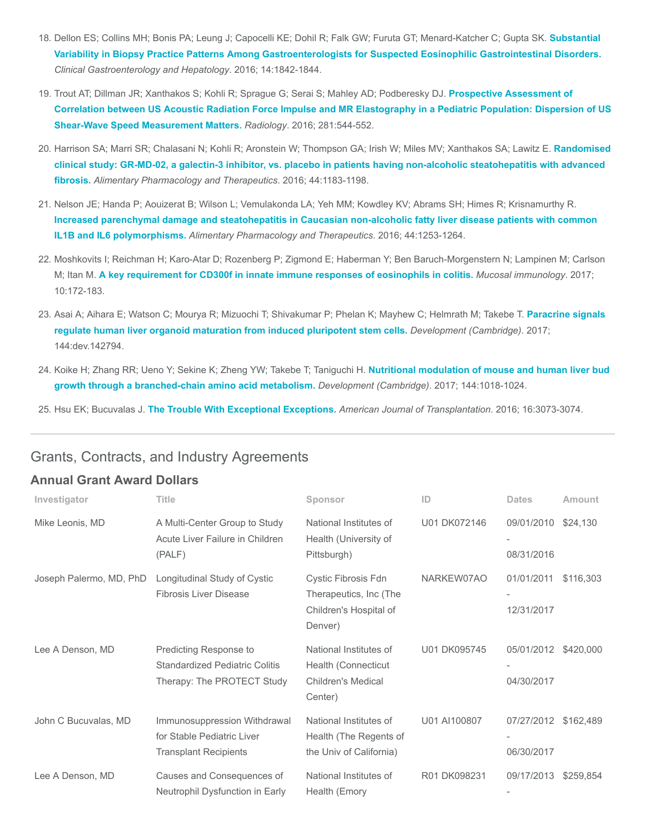- 18. [Dellon ES; Collins MH; Bonis PA; Leung J; Capocelli KE; Dohil R; Falk GW; Furuta GT; Menard-Katcher C; Gupta SK.](https://www.ncbi.nlm.nih.gov/pubmed/27112108) Substantial Variability in Biopsy Practice Patterns Among Gastroenterologists for Suspected Eosinophilic Gastrointestinal Disorders. Clinical Gastroenterology and Hepatology. 2016; 14:1842-1844.
- 19. Trout AT; Dillman JR; Xanthakos S; Kohli R; Sprague G; Serai S; Mahley AD; Podberesky DJ. Prospective Assessment of [Correlation between US Acoustic Radiation Force Impulse and MR Elastography in a Pediatric Population: Dispersion of US](https://www.ncbi.nlm.nih.gov/pubmed/27228332) Shear-Wave Speed Measurement Matters. Radiology. 2016; 281:544-552.
- 20. [Harrison SA; Marri SR; Chalasani N; Kohli R; Aronstein W; Thompson GA; Irish W; Miles MV; Xanthakos SA; Lawitz E.](https://www.ncbi.nlm.nih.gov/pubmed/27778367) Randomised clinical study: GR-MD-02, a galectin-3 inhibitor, vs. placebo in patients having non-alcoholic steatohepatitis with advanced fibrosis. Alimentary Pharmacology and Therapeutics. 2016; 44:1183-1198.
- 21. Nelson JE; Handa P; Aouizerat B; Wilson L; Vemulakonda LA; Yeh MM; Kowdley KV; Abrams SH; Himes R; Krisnamurthy R. [Increased parenchymal damage and steatohepatitis in Caucasian non-alcoholic fatty liver disease patients with common](https://www.ncbi.nlm.nih.gov/pubmed/27730688) IL1B and IL6 polymorphisms. Alimentary Pharmacology and Therapeutics. 2016; 44:1253-1264.
- 22. Moshkovits I; Reichman H; Karo-Atar D; Rozenberg P; Zigmond E; Haberman Y; Ben Baruch-Morgenstern N; Lampinen M; Carlson M; Itan M. [A key requirement for CD300f in innate immune responses of eosinophils in colitis.](https://www.ncbi.nlm.nih.gov/pubmed/27118491) Mucosal immunology. 2017; 10:172-183.
- 23. [Asai A; Aihara E; Watson C; Mourya R; Mizuochi T; Shivakumar P; Phelan K; Mayhew C; Helmrath M; Takebe T.](https://www.ncbi.nlm.nih.gov/pubmed/28275009) Paracrine signals regulate human liver organoid maturation from induced pluripotent stem cells. Development (Cambridge). 2017; 144:dev.142794.
- 24. [Koike H; Zhang RR; Ueno Y; Sekine K; Zheng YW; Takebe T; Taniguchi H.](https://www.ncbi.nlm.nih.gov/pubmed/28219950) Nutritional modulation of mouse and human liver bud growth through a branched-chain amino acid metabolism. Development (Cambridge). 2017; 144:1018-1024.

25. Hsu EK; Bucuvalas J. [The Trouble With Exceptional Exceptions.](https://www.ncbi.nlm.nih.gov/pubmed/27305346) American Journal of Transplantation. 2016; 16:3073-3074.

## Grants, Contracts, and Industry Agreements

## Annual Grant Award Dollars

| Investigator            | <b>Title</b>                                                                                  | Sponsor                                                                               | ID           | <b>Dates</b>             | Amount    |
|-------------------------|-----------------------------------------------------------------------------------------------|---------------------------------------------------------------------------------------|--------------|--------------------------|-----------|
| Mike Leonis, MD         | A Multi-Center Group to Study<br>Acute Liver Failure in Children<br>(PALF)                    | National Institutes of<br>Health (University of<br>Pittsburgh)                        | U01 DK072146 | 09/01/2010<br>08/31/2016 | \$24,130  |
| Joseph Palermo, MD, PhD | Longitudinal Study of Cystic<br><b>Fibrosis Liver Disease</b>                                 | Cystic Fibrosis Fdn<br>Therapeutics, Inc (The<br>Children's Hospital of<br>Denver)    | NARKEW07AO   | 01/01/2011<br>12/31/2017 | \$116,303 |
| Lee A Denson, MD        | Predicting Response to<br><b>Standardized Pediatric Colitis</b><br>Therapy: The PROTECT Study | National Institutes of<br>Health (Connecticut<br><b>Children's Medical</b><br>Center) | U01 DK095745 | 05/01/2012<br>04/30/2017 | \$420,000 |
| John C Bucuvalas, MD    | Immunosuppression Withdrawal<br>for Stable Pediatric Liver<br><b>Transplant Recipients</b>    | National Institutes of<br>Health (The Regents of<br>the Univ of California)           | U01 AI100807 | 07/27/2012<br>06/30/2017 | \$162,489 |
| Lee A Denson, MD        | Causes and Consequences of<br>Neutrophil Dysfunction in Early                                 | National Institutes of<br>Health (Emory                                               | R01 DK098231 | 09/17/2013               | \$259,854 |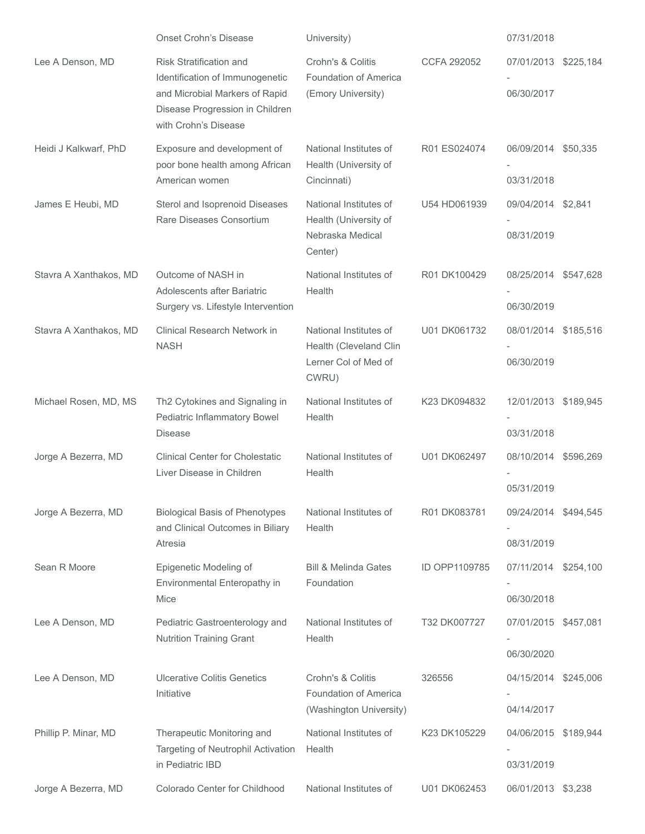| <b>Onset Crohn's Disease</b>                                              | University)                                                                                                                                               |                                                           | 07/31/2018 |                                                                                                                                                                                                                                                                                                                                                           |
|---------------------------------------------------------------------------|-----------------------------------------------------------------------------------------------------------------------------------------------------------|-----------------------------------------------------------|------------|-----------------------------------------------------------------------------------------------------------------------------------------------------------------------------------------------------------------------------------------------------------------------------------------------------------------------------------------------------------|
| Risk Stratification and<br>Identification of Immunogenetic                | Crohn's & Colitis<br><b>Foundation of America</b>                                                                                                         | <b>CCFA 292052</b>                                        |            |                                                                                                                                                                                                                                                                                                                                                           |
| Disease Progression in Children<br>with Crohn's Disease                   |                                                                                                                                                           |                                                           |            |                                                                                                                                                                                                                                                                                                                                                           |
| Exposure and development of<br>poor bone health among African             | National Institutes of<br>Health (University of                                                                                                           | R01 ES024074                                              |            |                                                                                                                                                                                                                                                                                                                                                           |
| Sterol and Isoprenoid Diseases<br>Rare Diseases Consortium                | National Institutes of<br>Health (University of                                                                                                           | U54 HD061939                                              |            |                                                                                                                                                                                                                                                                                                                                                           |
|                                                                           | Nebraska Medical<br>Center)                                                                                                                               |                                                           | 08/31/2019 |                                                                                                                                                                                                                                                                                                                                                           |
| Outcome of NASH in<br>Adolescents after Bariatric                         | National Institutes of<br>Health                                                                                                                          | R01 DK100429                                              |            |                                                                                                                                                                                                                                                                                                                                                           |
|                                                                           |                                                                                                                                                           |                                                           |            |                                                                                                                                                                                                                                                                                                                                                           |
| <b>Clinical Research Network in</b><br><b>NASH</b>                        | National Institutes of<br>Health (Cleveland Clin                                                                                                          | U01 DK061732                                              |            |                                                                                                                                                                                                                                                                                                                                                           |
|                                                                           | Lerner Col of Med of<br>CWRU)                                                                                                                             |                                                           | 06/30/2019 |                                                                                                                                                                                                                                                                                                                                                           |
| Th2 Cytokines and Signaling in<br>Pediatric Inflammatory Bowel            | National Institutes of<br>Health                                                                                                                          | K23 DK094832                                              |            |                                                                                                                                                                                                                                                                                                                                                           |
| <b>Disease</b>                                                            |                                                                                                                                                           |                                                           | 03/31/2018 |                                                                                                                                                                                                                                                                                                                                                           |
| <b>Clinical Center for Cholestatic</b><br>Liver Disease in Children       | National Institutes of<br>Health                                                                                                                          | U01 DK062497                                              |            |                                                                                                                                                                                                                                                                                                                                                           |
|                                                                           |                                                                                                                                                           |                                                           | 05/31/2019 |                                                                                                                                                                                                                                                                                                                                                           |
| <b>Biological Basis of Phenotypes</b><br>and Clinical Outcomes in Biliary | National Institutes of<br>Health                                                                                                                          | R01 DK083781                                              |            |                                                                                                                                                                                                                                                                                                                                                           |
| Atresia                                                                   |                                                                                                                                                           |                                                           | 08/31/2019 |                                                                                                                                                                                                                                                                                                                                                           |
| Epigenetic Modeling of                                                    | <b>Bill &amp; Melinda Gates</b>                                                                                                                           | ID OPP1109785                                             |            |                                                                                                                                                                                                                                                                                                                                                           |
| Mice                                                                      |                                                                                                                                                           |                                                           | 06/30/2018 |                                                                                                                                                                                                                                                                                                                                                           |
| Pediatric Gastroenterology and                                            | National Institutes of                                                                                                                                    | T32 DK007727                                              |            |                                                                                                                                                                                                                                                                                                                                                           |
|                                                                           |                                                                                                                                                           |                                                           | 06/30/2020 |                                                                                                                                                                                                                                                                                                                                                           |
| <b>Ulcerative Colitis Genetics</b>                                        | Crohn's & Colitis                                                                                                                                         | 326556                                                    |            |                                                                                                                                                                                                                                                                                                                                                           |
| Initiative                                                                | Foundation of America<br>(Washington University)                                                                                                          |                                                           | 04/14/2017 |                                                                                                                                                                                                                                                                                                                                                           |
| Therapeutic Monitoring and<br>Targeting of Neutrophil Activation          | National Institutes of<br>Health                                                                                                                          | K23 DK105229                                              |            |                                                                                                                                                                                                                                                                                                                                                           |
| in Pediatric IBD                                                          |                                                                                                                                                           |                                                           | 03/31/2019 |                                                                                                                                                                                                                                                                                                                                                           |
| Colorado Center for Childhood                                             | National Institutes of                                                                                                                                    | U01 DK062453                                              |            |                                                                                                                                                                                                                                                                                                                                                           |
|                                                                           | and Microbial Markers of Rapid<br>American women<br>Surgery vs. Lifestyle Intervention<br>Environmental Enteropathy in<br><b>Nutrition Training Grant</b> | (Emory University)<br>Cincinnati)<br>Foundation<br>Health |            | 07/01/2013 \$225,184<br>06/30/2017<br>06/09/2014 \$50,335<br>03/31/2018<br>09/04/2014 \$2,841<br>08/25/2014 \$547,628<br>06/30/2019<br>08/01/2014 \$185,516<br>12/01/2013 \$189,945<br>08/10/2014 \$596,269<br>09/24/2014 \$494,545<br>07/11/2014 \$254,100<br>07/01/2015 \$457,081<br>04/15/2014 \$245,006<br>04/06/2015 \$189,944<br>06/01/2013 \$3,238 |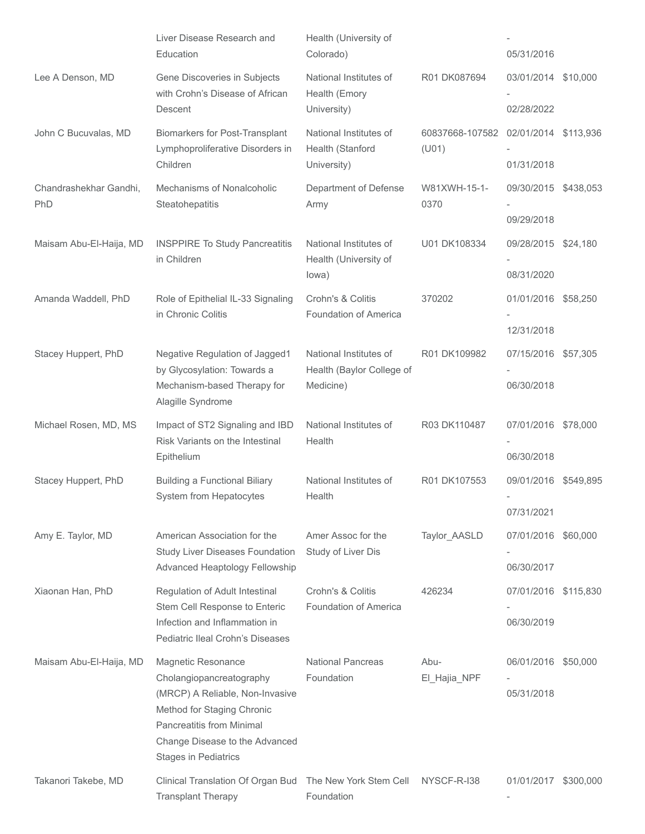|                               | Liver Disease Research and<br>Education                                                                                                                                                                              | Health (University of<br>Colorado)                        |                          | 05/31/2016                         |  |
|-------------------------------|----------------------------------------------------------------------------------------------------------------------------------------------------------------------------------------------------------------------|-----------------------------------------------------------|--------------------------|------------------------------------|--|
| Lee A Denson, MD              | Gene Discoveries in Subjects<br>with Crohn's Disease of African<br>Descent                                                                                                                                           | National Institutes of<br>Health (Emory                   | R01 DK087694             | 03/01/2014 \$10,000<br>02/28/2022  |  |
|                               |                                                                                                                                                                                                                      | University)                                               |                          |                                    |  |
| John C Bucuvalas, MD          | <b>Biomarkers for Post-Transplant</b><br>Lymphoproliferative Disorders in<br>Children                                                                                                                                | National Institutes of<br>Health (Stanford<br>University) | 60837668-107582<br>(U01) | 02/01/2014 \$113,936<br>01/31/2018 |  |
| Chandrashekhar Gandhi,<br>PhD | Mechanisms of Nonalcoholic<br>Steatohepatitis                                                                                                                                                                        | Department of Defense<br>Army                             | W81XWH-15-1-<br>0370     | 09/30/2015 \$438,053<br>09/29/2018 |  |
| Maisam Abu-El-Haija, MD       | <b>INSPPIRE To Study Pancreatitis</b><br>in Children                                                                                                                                                                 | National Institutes of<br>Health (University of<br>lowa)  | U01 DK108334             | 09/28/2015 \$24,180<br>08/31/2020  |  |
|                               |                                                                                                                                                                                                                      |                                                           |                          |                                    |  |
| Amanda Waddell, PhD           | Role of Epithelial IL-33 Signaling<br>in Chronic Colitis                                                                                                                                                             | Crohn's & Colitis<br>Foundation of America                | 370202                   | 01/01/2016 \$58,250<br>12/31/2018  |  |
| Stacey Huppert, PhD           | Negative Regulation of Jagged1<br>by Glycosylation: Towards a                                                                                                                                                        | National Institutes of<br>Health (Baylor College of       | R01 DK109982             | 07/15/2016 \$57,305                |  |
|                               | Mechanism-based Therapy for<br>Alagille Syndrome                                                                                                                                                                     | Medicine)                                                 |                          | 06/30/2018                         |  |
| Michael Rosen, MD, MS         | Impact of ST2 Signaling and IBD<br>Risk Variants on the Intestinal<br>Epithelium                                                                                                                                     | National Institutes of<br>Health                          | R03 DK110487             | 07/01/2016 \$78,000<br>06/30/2018  |  |
| Stacey Huppert, PhD           | <b>Building a Functional Biliary</b><br><b>System from Hepatocytes</b>                                                                                                                                               | National Institutes of<br>Health                          | R01 DK107553             | 09/01/2016 \$549,895<br>07/31/2021 |  |
| Amy E. Taylor, MD             | American Association for the<br><b>Study Liver Diseases Foundation</b><br>Advanced Heaptology Fellowship                                                                                                             | Amer Assoc for the<br>Study of Liver Dis                  | Taylor_AASLD             | 07/01/2016 \$60,000<br>06/30/2017  |  |
| Xiaonan Han, PhD              | Regulation of Adult Intestinal<br>Stem Cell Response to Enteric<br>Infection and Inflammation in<br>Pediatric Ileal Crohn's Diseases                                                                                 | Crohn's & Colitis<br>Foundation of America                | 426234                   | 07/01/2016 \$115,830<br>06/30/2019 |  |
| Maisam Abu-El-Haija, MD       | Magnetic Resonance<br>Cholangiopancreatography<br>(MRCP) A Reliable, Non-Invasive<br>Method for Staging Chronic<br><b>Pancreatitis from Minimal</b><br>Change Disease to the Advanced<br><b>Stages in Pediatrics</b> | <b>National Pancreas</b><br>Foundation                    | Abu-<br>El_Hajia_NPF     | 06/01/2016 \$50,000<br>05/31/2018  |  |
| Takanori Takebe, MD           | Clinical Translation Of Organ Bud<br><b>Transplant Therapy</b>                                                                                                                                                       | The New York Stem Cell<br>Foundation                      | NYSCF-R-I38              | 01/01/2017 \$300,000               |  |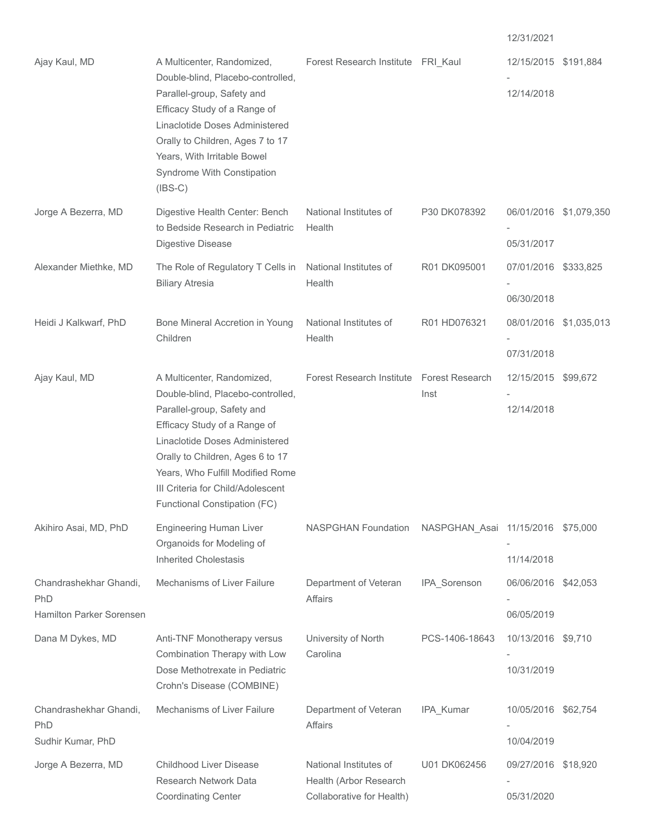| Ajay Kaul, MD                                             | A Multicenter, Randomized,<br>Double-blind, Placebo-controlled,<br>Parallel-group, Safety and<br>Efficacy Study of a Range of<br>Linaclotide Doses Administered<br>Orally to Children, Ages 7 to 17<br>Years, With Irritable Bowel<br>Syndrome With Constipation<br>$(IBS-C)$                                | Forest Research Institute FRI_Kaul                                            |                                   | 12/15/2015 \$191,884<br>12/14/2018   |  |
|-----------------------------------------------------------|--------------------------------------------------------------------------------------------------------------------------------------------------------------------------------------------------------------------------------------------------------------------------------------------------------------|-------------------------------------------------------------------------------|-----------------------------------|--------------------------------------|--|
| Jorge A Bezerra, MD                                       | Digestive Health Center: Bench<br>to Bedside Research in Pediatric<br>Digestive Disease                                                                                                                                                                                                                      | National Institutes of<br>Health                                              | P30 DK078392                      | 06/01/2016 \$1,079,350<br>05/31/2017 |  |
| Alexander Miethke, MD                                     | The Role of Regulatory T Cells in<br><b>Biliary Atresia</b>                                                                                                                                                                                                                                                  | National Institutes of<br>Health                                              | R01 DK095001                      | 07/01/2016 \$333,825<br>06/30/2018   |  |
| Heidi J Kalkwarf, PhD                                     | Bone Mineral Accretion in Young<br>Children                                                                                                                                                                                                                                                                  | National Institutes of<br>Health                                              | R01 HD076321                      | 08/01/2016 \$1,035,013<br>07/31/2018 |  |
| Ajay Kaul, MD                                             | A Multicenter, Randomized,<br>Double-blind, Placebo-controlled,<br>Parallel-group, Safety and<br>Efficacy Study of a Range of<br>Linaclotide Doses Administered<br>Orally to Children, Ages 6 to 17<br>Years, Who Fulfill Modified Rome<br>III Criteria for Child/Adolescent<br>Functional Constipation (FC) | Forest Research Institute Forest Research                                     | Inst                              | 12/15/2015 \$99,672<br>12/14/2018    |  |
| Akihiro Asai, MD, PhD                                     | <b>Engineering Human Liver</b><br>Organoids for Modeling of<br><b>Inherited Cholestasis</b>                                                                                                                                                                                                                  | <b>NASPGHAN Foundation</b>                                                    | NASPGHAN_Asai 11/15/2016 \$75,000 | 11/14/2018                           |  |
| Chandrashekhar Ghandi,<br>PhD<br>Hamilton Parker Sorensen | Mechanisms of Liver Failure                                                                                                                                                                                                                                                                                  | Department of Veteran<br><b>Affairs</b>                                       | IPA_Sorenson                      | 06/06/2016 \$42,053<br>06/05/2019    |  |
| Dana M Dykes, MD                                          | Anti-TNF Monotherapy versus<br>Combination Therapy with Low<br>Dose Methotrexate in Pediatric<br>Crohn's Disease (COMBINE)                                                                                                                                                                                   | University of North<br>Carolina                                               | PCS-1406-18643                    | 10/13/2016 \$9,710<br>10/31/2019     |  |
| Chandrashekhar Ghandi,<br>PhD<br>Sudhir Kumar, PhD        | Mechanisms of Liver Failure                                                                                                                                                                                                                                                                                  | Department of Veteran<br><b>Affairs</b>                                       | IPA_Kumar                         | 10/05/2016 \$62,754<br>10/04/2019    |  |
| Jorge A Bezerra, MD                                       | <b>Childhood Liver Disease</b><br>Research Network Data<br><b>Coordinating Center</b>                                                                                                                                                                                                                        | National Institutes of<br>Health (Arbor Research<br>Collaborative for Health) | U01 DK062456                      | 09/27/2016 \$18,920<br>05/31/2020    |  |

12/31/2021